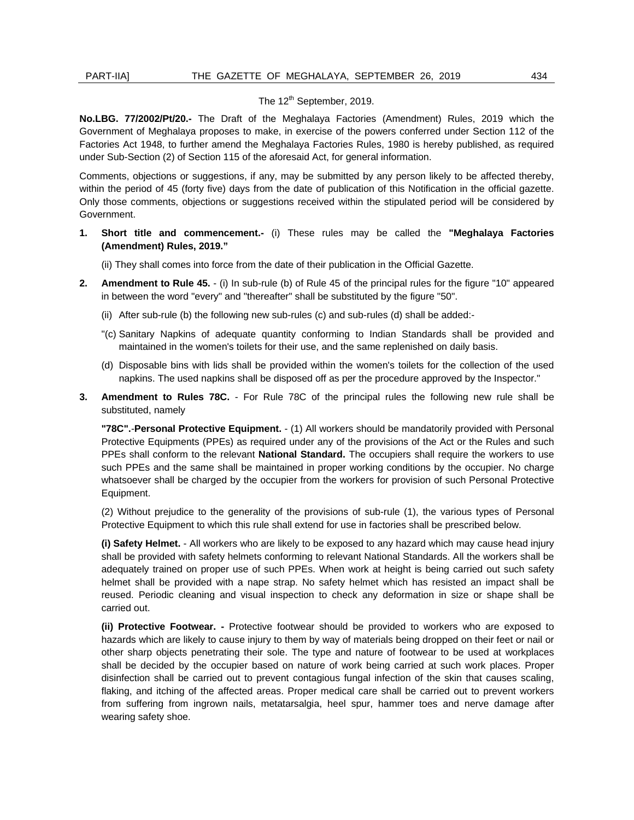## The  $12^{th}$  September, 2019.

**No.LBG. 77/2002/Pt/20.-** The Draft of the Meghalaya Factories (Amendment) Rules, 2019 which the Government of Meghalaya proposes to make, in exercise of the powers conferred under Section 112 of the Factories Act 1948, to further amend the Meghalaya Factories Rules, 1980 is hereby published, as required under Sub-Section (2) of Section 115 of the aforesaid Act, for general information.

 within the period of 45 (forty five) days from the date of publication of this Notification in the official gazette. Only those comments, objections or suggestions received within the stipulated period will be considered by Comments, objections or suggestions, if any, may be submitted by any person likely to be affected thereby, Government.

**1. Short title and commencement.-** (i) These rules may be called the **"Meghalaya Factories (Amendment) Rules, 2019."** 

(ii) They shall comes into force from the date of their publication in the Official Gazette.

- **2. Amendment to Rule 45.**  (i) In sub-rule (b) of Rule 45 of the principal rules for the figure "10" appeared in between the word "every" and "thereafter" shall be substituted by the figure "50".
	- (ii) After sub-rule (b) the following new sub-rules (c) and sub-rules (d) shall be added:-
	- maintained in the women's toilets for their use, and the same replenished on daily basis. "(c) Sanitary Napkins of adequate quantity conforming to Indian Standards shall be provided and
	- (d) Disposable bins with lids shall be provided within the women's toilets for the collection of the used napkins. The used napkins shall be disposed off as per the procedure approved by the Inspector."
- **3. Amendment to Rules 78C.**  For Rule 78C of the principal rules the following new rule shall be substituted, namely

 Protective Equipments (PPEs) as required under any of the provisions of the Act or the Rules and such whatsoever shall be charged by the occupier from the workers for provision of such Personal Protective **"78C".**-**Personal Protective Equipment.** - (1) All workers should be mandatorily provided with Personal PPEs shall conform to the relevant **National Standard.** The occupiers shall require the workers to use such PPEs and the same shall be maintained in proper working conditions by the occupier. No charge Equipment.

(2) Without prejudice to the generality of the provisions of sub-rule (1), the various types of Personal Protective Equipment to which this rule shall extend for use in factories shall be prescribed below.

 adequately trained on proper use of such PPEs. When work at height is being carried out such safety helmet shall be provided with a nape strap. No safety helmet which has resisted an impact shall be **(i) Safety Helmet.** - All workers who are likely to be exposed to any hazard which may cause head injury shall be provided with safety helmets conforming to relevant National Standards. All the workers shall be reused. Periodic cleaning and visual inspection to check any deformation in size or shape shall be carried out.

 **(ii) Protective Footwear. -** Protective footwear should be provided to workers who are exposed to hazards which are likely to cause injury to them by way of materials being dropped on their feet or nail or other sharp objects penetrating their sole. The type and nature of footwear to be used at workplaces shall be decided by the occupier based on nature of work being carried at such work places. Proper disinfection shall be carried out to prevent contagious fungal infection of the skin that causes scaling, flaking, and itching of the affected areas. Proper medical care shall be carried out to prevent workers from suffering from ingrown nails, metatarsalgia, heel spur, hammer toes and nerve damage after wearing safety shoe.